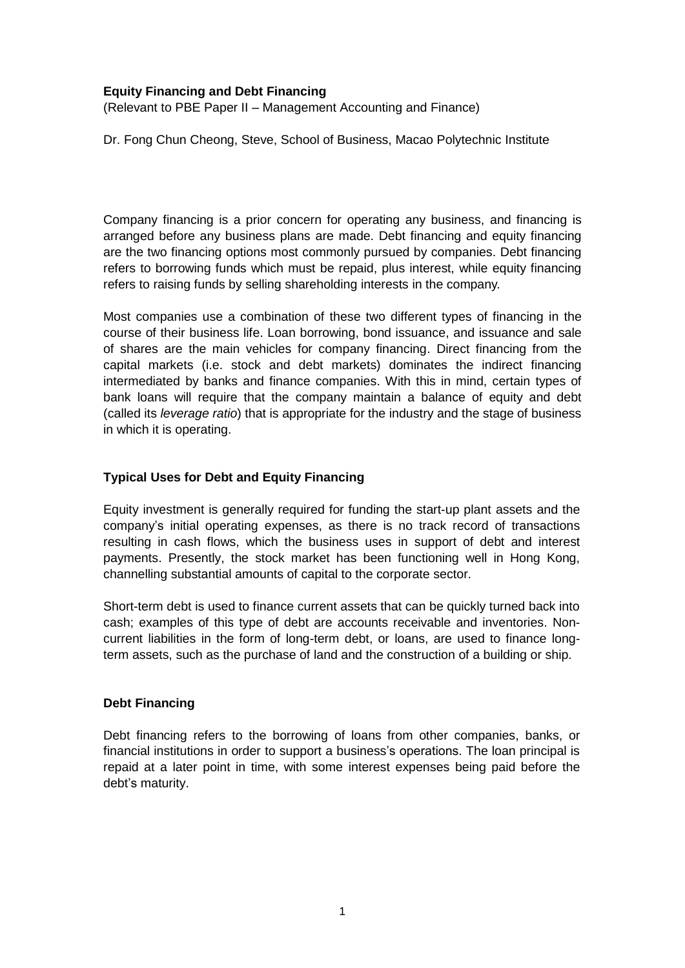#### **Equity Financing and Debt Financing**

(Relevant to PBE Paper II – Management Accounting and Finance)

Dr. Fong Chun Cheong, Steve, School of Business, Macao Polytechnic Institute

Company financing is a prior concern for operating any business, and financing is arranged before any business plans are made. Debt financing and equity financing are the two financing options most commonly pursued by companies. Debt financing refers to borrowing funds which must be repaid, plus interest, while equity financing refers to raising funds by selling shareholding interests in the company.

Most companies use a combination of these two different types of financing in the course of their business life. Loan borrowing, bond issuance, and issuance and sale of shares are the main vehicles for company financing. Direct financing from the capital markets (i.e. stock and debt markets) dominates the indirect financing intermediated by banks and finance companies. With this in mind, certain types of bank loans will require that the company maintain a balance of equity and debt (called its *leverage ratio*) that is appropriate for the industry and the stage of business in which it is operating.

### **Typical Uses for Debt and Equity Financing**

Equity investment is generally required for funding the start-up plant assets and the company's initial operating expenses, as there is no track record of transactions resulting in cash flows, which the business uses in support of debt and interest payments. Presently, the stock market has been functioning well in Hong Kong, channelling substantial amounts of capital to the corporate sector.

Short-term debt is used to finance current assets that can be quickly turned back into cash; examples of this type of debt are accounts receivable and inventories. Noncurrent liabilities in the form of long-term debt, or loans, are used to finance longterm assets, such as the purchase of land and the construction of a building or ship.

# **Debt Financing**

Debt financing refers to the [borrowing of loans from other companies,](http://www.mytopbusinessideas.com/raising-capital-family-friends/) [banks,](http://www.mytopbusinessideas.com/apply-get-bank-loans/) or financial institutions in order to support a business's operations. The loan principal is repaid at a later point in time, with some interest expenses being paid before the debt's maturity.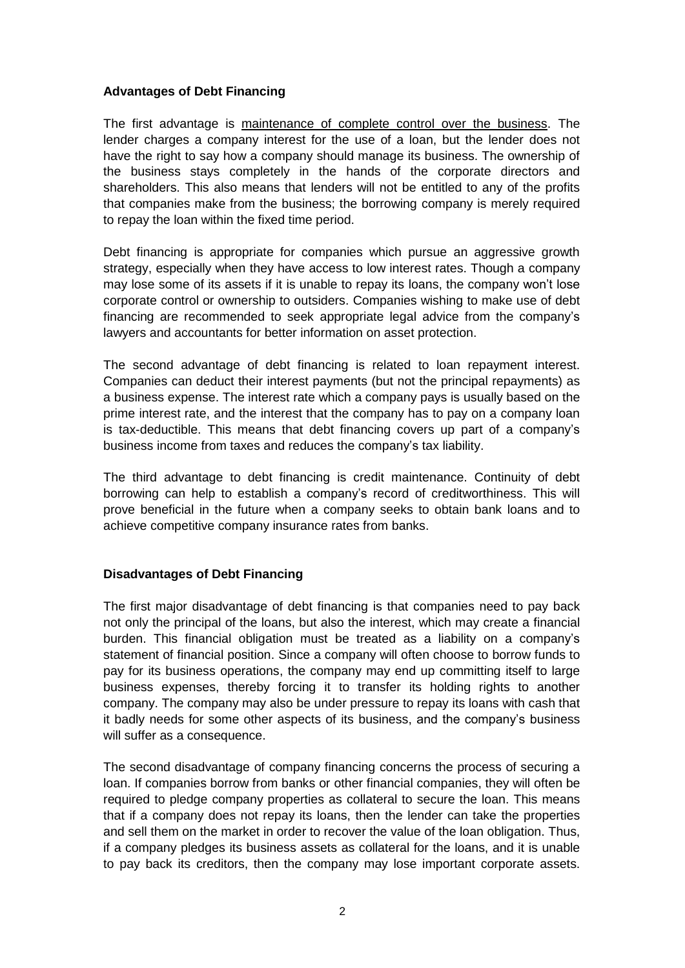### **Advantages of Debt Financing**

The first advantage is maintenance of complete control over the business. The lender charges a company interest for the use of a loan, but the lender does not have the right to say how a company should manage its business. The ownership of the business stays completely in the hands of the corporate directors and shareholders. This also means that lenders will not be entitled to any of the profits that companies make from the business; the borrowing company is merely required to repay the loan within the fixed time period.

Debt financing is appropriate for companies which pursue an aggressive growth strategy, especially when they have access to low interest rates. Though a company may lose some of its assets if it is unable to repay its loans, the company won't lose corporate control or ownership to outsiders. Companies wishing to make use of debt financing are recommended to seek appropriate legal advice from the company's lawyers and accountants for better information on asset protection.

The second advantage of debt financing is related to loan repayment interest. Companies can deduct their interest payments (but not the principal repayments) as a business expense. The interest rate which a company pays is usually based on the prime interest rate, and the interest that the company has to pay on a company loan is tax-deductible. This means that debt financing covers up part of a company's business income from taxes and reduces the company's tax liability.

The third advantage to debt financing is credit maintenance. Continuity of debt borrowing can help to establish a company's record of creditworthiness. This will prove beneficial in the future when a company seeks to obtain bank loans and to achieve competitive company insurance rates from banks.

#### **Disadvantages of Debt Financing**

The first major disadvantage of debt financing is that companies need to pay back not only the principal of the loans, but also the interest, which may create a financial burden. This financial obligation must be treated as a liability on a company's statement of financial position. Since a company will often choose to borrow funds to pay for its business operations, the company may end up committing itself to large business expenses, thereby forcing it to transfer its holding rights to another company. The company may also be under pressure to repay its loans with cash that it badly needs for some other aspects of its business, and the company's business will suffer as a consequence.

The second disadvantage of company financing concerns the process of securing a loan. If companies borrow from banks or other financial companies, they will often be required to pledge company properties as collateral to secure the loan. This means that if a company does not repay its loans, then the lender can take the properties and sell them on the market in order to recover the value of the loan obligation. Thus, if a company pledges its business assets as collateral for the loans, and it is unable to pay back its creditors, then the company may lose important corporate assets.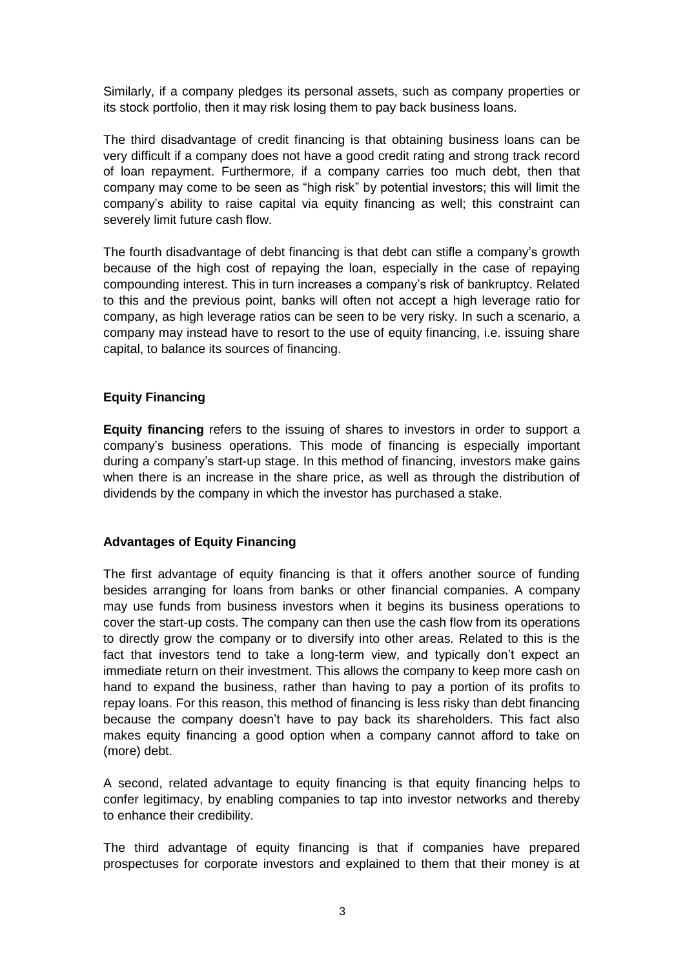Similarly, if a company pledges its personal assets, such as company properties or its stock portfolio, then it may risk losing them to pay back business loans.

The third disadvantage of credit financing is that obtaining business loans can be very difficult if a company does not have a good credit rating and strong track record of loan repayment. Furthermore, if a company carries too much debt, then that company may come to be seen as "high risk" by potential investors; this will limit the company's ability to raise capital via equity financing as well; this constraint can severely limit future cash flow.

The fourth disadvantage of debt financing is that debt can stifle a company's growth because of the high cost of repaying the loan, especially in the case of repaying compounding interest. This in turn increases a company's risk of bankruptcy. Related to this and the previous point, banks will often not accept a high leverage ratio for company, as high leverage ratios can be seen to be very risky. In such a scenario, a company may instead have to resort to the use of equity financing, i.e. issuing share capital, to balance its sources of financing.

# **Equity Financing**

**Equity financing** refers to the issuing of shares to investors in order to support a company's business operations. This mode of financing is especially important during a company's start-up stage. In this method of financing, investors make gains when there is an increase in the share price, as well as through the distribution of dividends by the company in which the investor has purchased a stake.

# **Advantages of Equity Financing**

The first advantage of equity financing is that it offers another source of funding besides arranging for loans from banks or other financial companies. A company may use funds from business investors when it begins its business operations to cover the start-up costs. The company can then use the cash flow from its operations to directly grow the company or to diversify into other areas. Related to this is the fact that investors tend to take a long-term view, and typically don't expect an immediate return on their investment. This allows the company to keep more cash on hand to expand the business, rather than having to pay a portion of its profits to repay loans. For this reason, this method of financing is less risky than debt financing because the company doesn't have to pay back its shareholders. This fact also makes equity financing a good option when a company cannot afford to take on (more) debt.

A second, related advantage to equity financing is that equity financing helps to confer legitimacy, by enabling companies to tap into investor networks and thereby to enhance their credibility.

The third advantage of equity financing is that if companies have prepared prospectuses for corporate investors and explained to them that their money is at